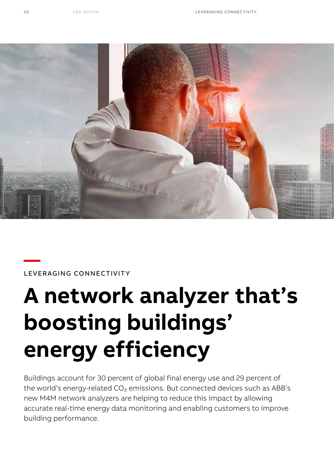

## **—**LEVERAGING CONNECTIVITY

# **A network analyzer that's boosting buildings' energy efficiency**

Buildings account for 30 percent of global final energy use and 29 percent of the world's energy-related CO<sub>2</sub> emissions. But connected devices such as ABB's new M4M network analyzers are helping to reduce this impact by allowing accurate real-time energy data monitoring and enabling customers to improve building performance.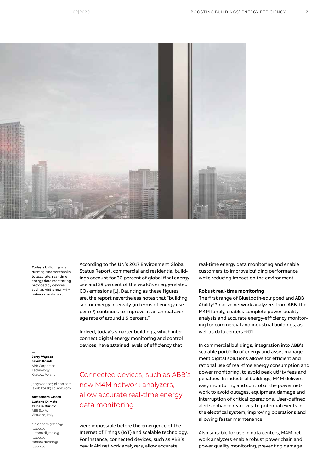

— Today's buildings are running smarter thanks to accurate, real-time energy data monitoring provided by devices such as ABB's new M4M network analyzers.

According to the UN's 2017 Environment Global Status Report, commercial and residential buildings account for 30 percent of global final energy use and 29 percent of the world's energy-related CO₂ emissions [1]. Daunting as these figures are, the report nevertheless notes that "building sector energy intensity (in terms of energy use per m<sup>2</sup>) continues to improve at an annual average rate of around 1.5 percent."

Indeed, today's smarter buildings, which interconnect digital energy monitoring and control devices, have attained levels of efficiency that

#### — **Jerzy Wąsacz Jakub Kozak** ABB Corporate Technology Krakow, Poland

jerzy.wasacz@pl.abb.com jakub.kozak@pl.abb.com

—

**Alessandro Grieco Luciano Di Maio Tamara Duricic** ABB S.p.A. Vittuone, Italy

alessandro.grieco@ it.abb.com luciano.di\_maio@ it.abb.com tamara.duricic@ it.abb.com

Connected devices, such as ABB's new M4M network analyzers, allow accurate real-time energy data monitoring.

were impossible before the emergence of the Internet of Things (IoT) and scalable technology. For instance, connected devices, such as ABB's new M4M network analyzers, allow accurate

real-time energy data monitoring and enable customers to improve building performance while reducing impact on the environment.

#### **Robust real-time monitoring**

The first range of Bluetooth-equipped and ABB Ability™-native network analyzers from ABB, the M4M family, enables complete power-quality analysis and accurate energy-efficiency monitoring for commercial and industrial buildings, as well as data centers **→01**.

In commercial buildings, integration into ABB's scalable portfolio of energy and asset management digital solutions allows for efficient and rational use of real-time energy consumption and power monitoring, to avoid peak utility fees and penalties. In industrial buildings, M4M delivers easy monitoring and control of the power network to avoid outages, equipment damage and interruption of critical operations. User-defined alerts enhance reactivity to potential events in the electrical system, improving operations and allowing faster maintenance.

Also suitable for use in data centers, M4M network analyzers enable robust power chain and power quality monitoring, preventing damage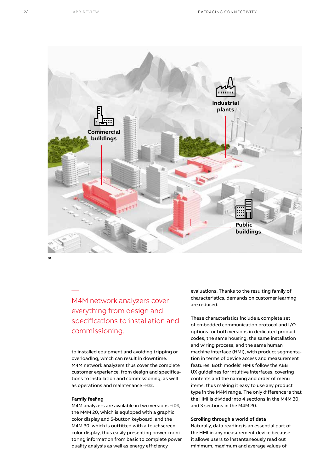

**01**

—

M4M network analyzers cover everything from design and specifications to installation and commissioning.

to installed equipment and avoiding tripping or overloading, which can result in downtime. M4M network analyzers thus cover the complete customer experience, from design and specifications to installation and commissioning, as well as operations and maintenance **→02**.

#### **Family feeling**

M4M analyzers are available in two versions **→03**, the M4M 20, which is equipped with a graphic color display and 5-button keyboard, and the M4M 30, which is outfitted with a touchscreen color display, thus easily presenting power-monitoring information from basic to complete power quality analysis as well as energy efficiency

evaluations. Thanks to the resulting family of characteristics, demands on customer learning are reduced.

These characteristics include a complete set of embedded communication protocol and I/O options for both versions in dedicated product codes, the same housing, the same installation and wiring process, and the same human machine interface (HMI), with product segmentation in terms of device access and measurement features. Both models' HMIs follow the ABB UX guidelines for intuitive interfaces, covering contents and the naming and order of menu items, thus making it easy to use any product type in the M4M range. The only difference is that the HMI is divided into 4 sections in the M4M 30, and 3 sections in the M4M 20.

#### **Scrolling through a world of data**

Naturally, data reading is an essential part of the HMI in any measurement device because it allows users to instantaneously read out minimum, maximum and average values of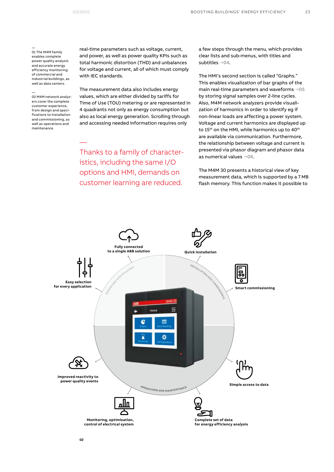—

— 01 The M4M family enables complete power quality analysis and accurate energy efficiency monitoring of commercial and industrial buildings, as well as data centers.

#### —

02 M4M network analyzers cover the complete customer experience, from design and specifications to installation and commissioning, as well as operations and maintenance.

real-time parameters such as voltage, current, and power, as well as power quality KPIs such as total harmonic distortion (THD) and unbalances for voltage and current, all of which must comply with IEC standards.

The measurement data also includes energy values, which are either divided by tariffs for Time of Use (TOU) metering or are represented in 4 quadrants not only as energy consumption but also as local energy generation. Scrolling through and accessing needed information requires only

Thanks to a family of characteristics, including the same I/O options and HMI, demands on customer learning are reduced.

a few steps through the menu, which provides clear lists and sub-menus, with titles and subtitles **→04**.

The HMI's second section is called "Graphs." This enables visualization of bar graphs of the main real-time parameters and waveforms **→05** by storing signal samples over 2-line cycles. Also, M4M network analyzers provide visualization of harmonics in order to identify eg if non-linear loads are affecting a power system. Voltage and current harmonics are displayed up to 15<sup>th</sup> on the HMI, while harmonics up to 40<sup>th</sup> are available via communication. Furthermore, the relationship between voltage and current is presented via phasor diagram and phasor data as numerical values **→06**.

The M4M 30 presents a historical view of key measurement data, which is supported by a 7 MB flash memory. This function makes it possible to

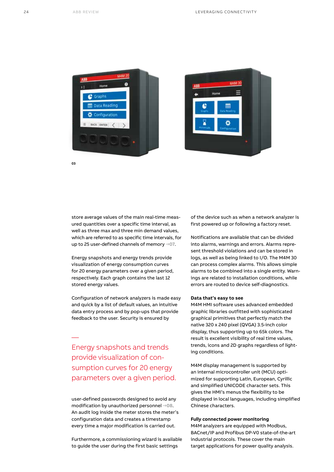



—

store average values of the main real-time measured quantities over a specific time interval, as well as three max and three min demand values, which are referred to as specific time intervals, for up to 25 user-defined channels of memory **→07**.

Energy snapshots and energy trends provide visualization of energy consumption curves for 20 energy parameters over a given period, respectively. Each graph contains the last 12 stored energy values.

Configuration of network analyzers is made easy and quick by a list of default values, an intuitive data entry process and by pop-ups that provide feedback to the user. Security is ensured by

Energy snapshots and trends provide visualization of consumption curves for 20 energy parameters over a given period.

user-defined passwords designed to avoid any modification by unauthorized personnel **→08**. An audit log inside the meter stores the meter's configuration data and creates a timestamp every time a major modification is carried out.

Furthermore, a commissioning wizard is available to guide the user during the first basic settings

of the device such as when a network analyzer is first powered up or following a factory reset.

Notifications are available that can be divided into alarms, warnings and errors. Alarms represent threshold violations and can be stored in logs, as well as being linked to I/O. The M4M 30 can process complex alarms. This allows simple alarms to be combined into a single entity. Warnings are related to installation conditions, while errors are routed to device self-diagnostics.

#### **Data that's easy to see**

M4M HMI software uses advanced embedded graphic libraries outfitted with sophisticated graphical primitives that perfectly match the native 320 x 240 pixel (QVGA) 3.5-inch color display, thus supporting up to 65k colors. The result is excellent visibility of real time values, trends, icons and 2D graphs regardless of lighting conditions.

M4M display management is supported by an internal microcontroller unit (MCU) optimized for supporting Latin, European, Cyrillic and simplified UNICODE character sets. This gives the HMI's menus the flexibility to be displayed in local languages, including simplified Chinese characters.

#### **Fully connected power monitoring**

M4M analyzers are equipped with Modbus, BACnet/IP and Profibus DP-V0 state-of-the-art industrial protocols. These cover the main target applications for power quality analysis.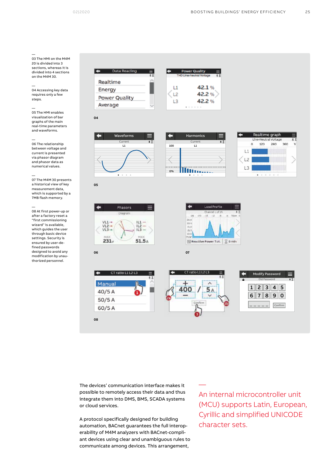Realtime graph

240

١ś

360  $\vee$ 

 $1$ ir

 $\circ$ 120

 $L1$ 

 $L<sup>2</sup>$ 

 $|3$ 

— 03 The HMI on the M4M 20 is divided into 3 sections, whereas it is divided into 4 sections on the M4M 30.

— 04 Accessing key data requires only a few steps.

— 05 The HMI enables visualization of bar graphs of the main real-time parameters and waveforms.

— 06 The relationship between voltage and current is presented via phasor diagram and phasor data as numerical values.

— 07 The M4M 30 presents a historical view of key measurement data, which is supported by a 7MB flash memory.

— 08 At first power-up or after a factory reset a "first commissioning wizard" is available, which guides the user through basic device settings. Security is ensured by user-defined passwords designed to avoid any modification by unauthorized personnel.

Data Reading Realtime Energy Power Quality Average

**04**

**05**

Waveforms Current L1





----------------



Harmonics Current

<u>littores</u>

Quality

42.1%

42.2%

42.2%

⋿

 $\overline{\mathbf{x}}$ 

100 L1

 $L1$ 

 $L<sup>2</sup>$ 

L3

0%

 $\leq$ 

 $\leftarrow$ 

The devices' communication interface makes it possible to remotely access their data and thus integrate them into DMS, BMS, SCADA systems or cloud services.

A protocol specifically designed for building automation, BACnet guarantees the full interoperability of M4M analyzers with BACnet-compliant devices using clear and unambiguous rules to communicate among devices. This arrangement,

— An internal microcontroller unit (MCU) supports Latin, European, Cyrillic and simplified UNICODE character sets.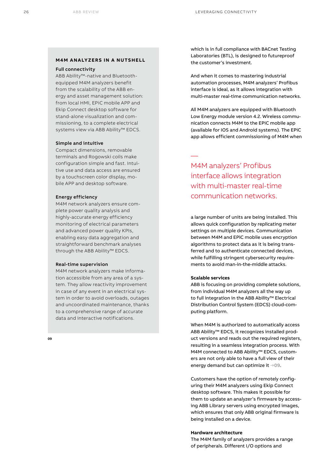### **M4M ANALYZERS IN A NUTSHELL**

#### Full connectivity

ABB Ability™-native and Bluetoothequipped M4M analyzers benefit from the scalability of the ABB energy and asset management solution: from local HMI, EPiC mobile APP and Ekip Connect desktop software for stand-alone visualization and commissioning, to a complete electrical systems view via ABB Ability™ EDCS.

#### Simple and intuitive

Compact dimensions, removable terminals and Rogowski coils make configuration simple and fast. Intuitive use and data access are ensured by a touchscreen color display, mobile APP and desktop software.

#### Energy efficiency

M4M network analyzers ensure complete power quality analysis and highly-accurate energy efficiency monitoring of electrical parameters and advanced power quality KPIs, enabling easy data aggregation and straightforward benchmark analyses through the ABB Ability™ EDCS.

#### Real-time supervision

M4M network analyzers make information accessible from any area of a system. They allow reactivity improvement in case of any event in an electrical system in order to avoid overloads, outages and uncoordinated maintenance, thanks to a comprehensive range of accurate data and interactive notifications.

**09**

which is in full compliance with BACnet Testing Laboratories (BTL), is designed to futureproof the customer's investment.

And when it comes to mastering industrial automation processes, M4M analyzers' Profibus interface is ideal, as it allows integration with multi-master real-time communication networks.

All M4M analyzers are equipped with Bluetooth Low Energy module version 4.2. Wireless communication connects M4M to the EPiC mobile app (available for IOS and Android systems). The EPiC app allows efficient commissioning of M4M when

M4M analyzers' Profibus interface allows integration with multi-master real-time communication networks.

a large number of units are being installed. This allows quick configuration by replicating meter settings on multiple devices. Communication between M4M and EPiC mobile uses encryption algorithms to protect data as it is being transferred and to authenticate connected devices, while fulfilling stringent cybersecurity requirements to avoid man-in-the-middle attacks.

#### **Scalable services**

—

ABB is focusing on providing complete solutions, from individual M4M analyzers all the way up to full integration in the ABB Ability™ Electrical Distribution Control System (EDCS) cloud-computing platform.

When M4M is authorized to automatically access ABB Ability™ EDCS, it recognizes installed product versions and reads out the required registers, resulting in a seamless integration process. With M4M connected to ABB Ability™ EDCS, customers are not only able to have a full view of their energy demand but can optimize it **→09**.

Customers have the option of remotely configuring their M4M analyzers using Ekip Connect desktop software. This makes it possible for them to update an analyzer's firmware by accessing ABB Library servers using encrypted images, which ensures that only ABB original firmware is being installed on a device.

#### **Hardware architecture**

The M4M family of analyzers provides a range of peripherals. Different I/O options and